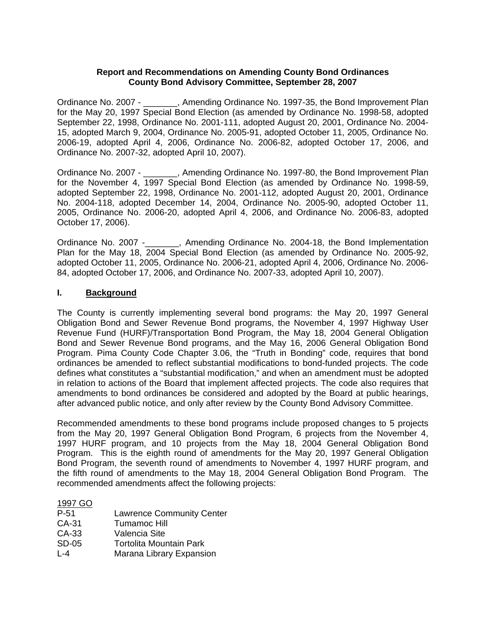### **Report and Recommendations on Amending County Bond Ordinances County Bond Advisory Committee, September 28, 2007**

Ordinance No. 2007 - \_\_\_\_\_\_\_, Amending Ordinance No. 1997-35, the Bond Improvement Plan for the May 20, 1997 Special Bond Election (as amended by Ordinance No. 1998-58, adopted September 22, 1998, Ordinance No. 2001-111, adopted August 20, 2001, Ordinance No. 2004- 15, adopted March 9, 2004, Ordinance No. 2005-91, adopted October 11, 2005, Ordinance No. 2006-19, adopted April 4, 2006, Ordinance No. 2006-82, adopted October 17, 2006, and Ordinance No. 2007-32, adopted April 10, 2007).

Ordinance No. 2007 - \_\_\_\_\_\_\_, Amending Ordinance No. 1997-80, the Bond Improvement Plan for the November 4, 1997 Special Bond Election (as amended by Ordinance No. 1998-59, adopted September 22, 1998, Ordinance No. 2001-112, adopted August 20, 2001, Ordinance No. 2004-118, adopted December 14, 2004, Ordinance No. 2005-90, adopted October 11, 2005, Ordinance No. 2006-20, adopted April 4, 2006, and Ordinance No. 2006-83, adopted October 17, 2006).

Ordinance No. 2007 -\_\_\_\_\_\_\_, Amending Ordinance No. 2004-18, the Bond Implementation Plan for the May 18, 2004 Special Bond Election (as amended by Ordinance No. 2005-92, adopted October 11, 2005, Ordinance No. 2006-21, adopted April 4, 2006, Ordinance No. 2006- 84, adopted October 17, 2006, and Ordinance No. 2007-33, adopted April 10, 2007).

### **I. Background**

The County is currently implementing several bond programs: the May 20, 1997 General Obligation Bond and Sewer Revenue Bond programs, the November 4, 1997 Highway User Revenue Fund (HURF)/Transportation Bond Program, the May 18, 2004 General Obligation Bond and Sewer Revenue Bond programs, and the May 16, 2006 General Obligation Bond Program. Pima County Code Chapter 3.06, the "Truth in Bonding" code, requires that bond ordinances be amended to reflect substantial modifications to bond-funded projects. The code defines what constitutes a "substantial modification," and when an amendment must be adopted in relation to actions of the Board that implement affected projects. The code also requires that amendments to bond ordinances be considered and adopted by the Board at public hearings, after advanced public notice, and only after review by the County Bond Advisory Committee.

Recommended amendments to these bond programs include proposed changes to 5 projects from the May 20, 1997 General Obligation Bond Program, 6 projects from the November 4, 1997 HURF program, and 10 projects from the May 18, 2004 General Obligation Bond Program. This is the eighth round of amendments for the May 20, 1997 General Obligation Bond Program, the seventh round of amendments to November 4, 1997 HURF program, and the fifth round of amendments to the May 18, 2004 General Obligation Bond Program. The recommended amendments affect the following projects:

### 1997 GO

| $P-51$ | <b>Lawrence Community Center</b> |
|--------|----------------------------------|
|--------|----------------------------------|

- CA-31 Tumamoc Hill
- CA-33 Valencia Site
- SD-05 Tortolita Mountain Park
- L-4 Marana Library Expansion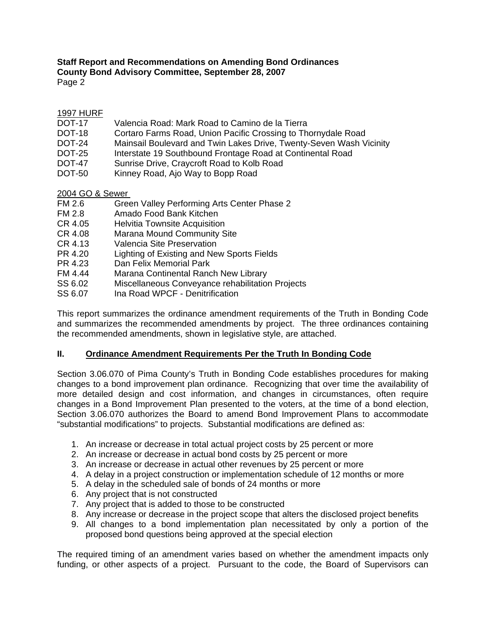### **Staff Report and Recommendations on Amending Bond Ordinances County Bond Advisory Committee, September 28, 2007**

Page 2

# 1997 HURF<br>DOT-17

- Valencia Road: Mark Road to Camino de la Tierra
- DOT-18 Cortaro Farms Road, Union Pacific Crossing to Thornydale Road
- DOT-24 Mainsail Boulevard and Twin Lakes Drive, Twenty-Seven Wash Vicinity
- DOT-25 Interstate 19 Southbound Frontage Road at Continental Road
- DOT-47 Sunrise Drive, Craycroft Road to Kolb Road
- DOT-50 Kinney Road, Ajo Way to Bopp Road

2004 GO & Sewer

- FM 2.6 Green Valley Performing Arts Center Phase 2<br>FM 2.8 Amado Food Bank Kitchen
- Amado Food Bank Kitchen
- CR 4.05 Helvitia Townsite Acquisition
- CR 4.08 Marana Mound Community Site
- CR 4.13 Valencia Site Preservation
- PR 4.20 Lighting of Existing and New Sports Fields
- PR 4.23 Dan Felix Memorial Park
- FM 4.44 Marana Continental Ranch New Library
- SS 6.02 Miscellaneous Conveyance rehabilitation Projects
- SS 6.07 Ina Road WPCF Denitrification

This report summarizes the ordinance amendment requirements of the Truth in Bonding Code and summarizes the recommended amendments by project. The three ordinances containing the recommended amendments, shown in legislative style, are attached.

### **II. Ordinance Amendment Requirements Per the Truth In Bonding Code**

Section 3.06.070 of Pima County's Truth in Bonding Code establishes procedures for making changes to a bond improvement plan ordinance. Recognizing that over time the availability of more detailed design and cost information, and changes in circumstances, often require changes in a Bond Improvement Plan presented to the voters, at the time of a bond election, Section 3.06.070 authorizes the Board to amend Bond Improvement Plans to accommodate "substantial modifications" to projects. Substantial modifications are defined as:

- 1. An increase or decrease in total actual project costs by 25 percent or more
- 2. An increase or decrease in actual bond costs by 25 percent or more
- 3. An increase or decrease in actual other revenues by 25 percent or more
- 4. A delay in a project construction or implementation schedule of 12 months or more
- 5. A delay in the scheduled sale of bonds of 24 months or more
- 6. Any project that is not constructed
- 7. Any project that is added to those to be constructed
- 8. Any increase or decrease in the project scope that alters the disclosed project benefits
- 9. All changes to a bond implementation plan necessitated by only a portion of the proposed bond questions being approved at the special election

The required timing of an amendment varies based on whether the amendment impacts only funding, or other aspects of a project. Pursuant to the code, the Board of Supervisors can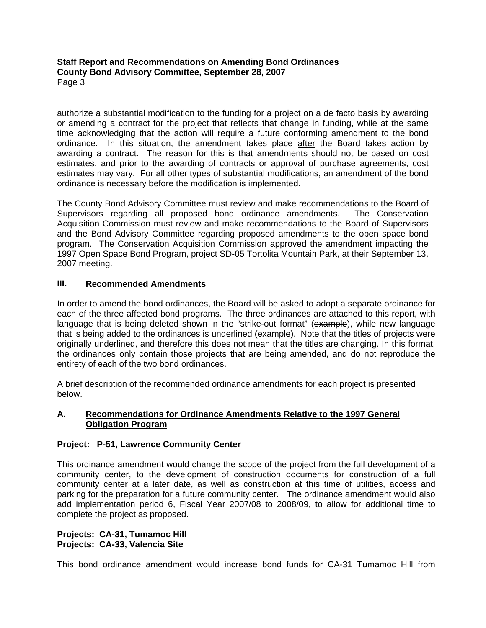**Staff Report and Recommendations on Amending Bond Ordinances County Bond Advisory Committee, September 28, 2007**  Page 3

authorize a substantial modification to the funding for a project on a de facto basis by awarding or amending a contract for the project that reflects that change in funding, while at the same time acknowledging that the action will require a future conforming amendment to the bond ordinance. In this situation, the amendment takes place after the Board takes action by awarding a contract. The reason for this is that amendments should not be based on cost estimates, and prior to the awarding of contracts or approval of purchase agreements, cost estimates may vary. For all other types of substantial modifications, an amendment of the bond ordinance is necessary before the modification is implemented.

The County Bond Advisory Committee must review and make recommendations to the Board of Supervisors regarding all proposed bond ordinance amendments. The Conservation Acquisition Commission must review and make recommendations to the Board of Supervisors and the Bond Advisory Committee regarding proposed amendments to the open space bond program. The Conservation Acquisition Commission approved the amendment impacting the 1997 Open Space Bond Program, project SD-05 Tortolita Mountain Park, at their September 13, 2007 meeting.

### **III. Recommended Amendments**

In order to amend the bond ordinances, the Board will be asked to adopt a separate ordinance for each of the three affected bond programs. The three ordinances are attached to this report, with language that is being deleted shown in the "strike-out format" (example), while new language that is being added to the ordinances is underlined (example). Note that the titles of projects were originally underlined, and therefore this does not mean that the titles are changing. In this format, the ordinances only contain those projects that are being amended, and do not reproduce the entirety of each of the two bond ordinances.

A brief description of the recommended ordinance amendments for each project is presented below.

### **A. Recommendations for Ordinance Amendments Relative to the 1997 General Obligation Program**

### **Project: P-51, Lawrence Community Center**

This ordinance amendment would change the scope of the project from the full development of a community center, to the development of construction documents for construction of a full community center at a later date, as well as construction at this time of utilities, access and parking for the preparation for a future community center. The ordinance amendment would also add implementation period 6, Fiscal Year 2007/08 to 2008/09, to allow for additional time to complete the project as proposed.

### **Projects: CA-31, Tumamoc Hill Projects: CA-33, Valencia Site**

This bond ordinance amendment would increase bond funds for CA-31 Tumamoc Hill from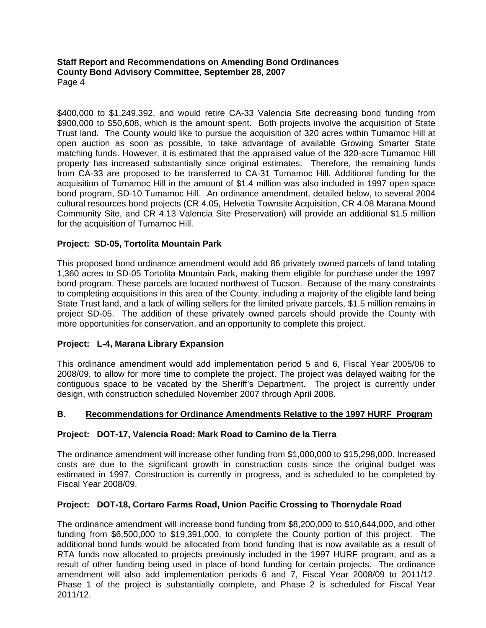**Staff Report and Recommendations on Amending Bond Ordinances County Bond Advisory Committee, September 28, 2007**  Page 4

\$400,000 to \$1,249,392, and would retire CA-33 Valencia Site decreasing bond funding from \$900,000 to \$50,608, which is the amount spent. Both projects involve the acquisition of State Trust land. The County would like to pursue the acquisition of 320 acres within Tumamoc Hill at open auction as soon as possible, to take advantage of available Growing Smarter State matching funds. However, it is estimated that the appraised value of the 320-acre Tumamoc Hill property has increased substantially since original estimates. Therefore, the remaining funds from CA-33 are proposed to be transferred to CA-31 Tumamoc Hill. Additional funding for the acquisition of Tumamoc Hill in the amount of \$1.4 million was also included in 1997 open space bond program, SD-10 Tumamoc Hill. An ordinance amendment, detailed below, to several 2004 cultural resources bond projects (CR 4.05, Helvetia Townsite Acquisition, CR 4.08 Marana Mound Community Site, and CR 4.13 Valencia Site Preservation) will provide an additional \$1.5 million for the acquisition of Tumamoc Hill.

### **Project: SD-05, Tortolita Mountain Park**

This proposed bond ordinance amendment would add 86 privately owned parcels of land totaling 1,360 acres to SD-05 Tortolita Mountain Park, making them eligible for purchase under the 1997 bond program. These parcels are located northwest of Tucson. Because of the many constraints to completing acquisitions in this area of the County, including a majority of the eligible land being State Trust land, and a lack of willing sellers for the limited private parcels, \$1.5 million remains in project SD-05. The addition of these privately owned parcels should provide the County with more opportunities for conservation, and an opportunity to complete this project.

### **Project: L-4, Marana Library Expansion**

This ordinance amendment would add implementation period 5 and 6, Fiscal Year 2005/06 to 2008/09, to allow for more time to complete the project. The project was delayed waiting for the contiguous space to be vacated by the Sheriff's Department. The project is currently under design, with construction scheduled November 2007 through April 2008.

### **B. Recommendations for Ordinance Amendments Relative to the 1997 HURF Program**

### **Project: DOT-17, Valencia Road: Mark Road to Camino de la Tierra**

The ordinance amendment will increase other funding from \$1,000,000 to \$15,298,000. Increased costs are due to the significant growth in construction costs since the original budget was estimated in 1997. Construction is currently in progress, and is scheduled to be completed by Fiscal Year 2008/09.

### **Project: DOT-18, Cortaro Farms Road, Union Pacific Crossing to Thornydale Road**

The ordinance amendment will increase bond funding from \$8,200,000 to \$10,644,000, and other funding from \$6,500,000 to \$19,391,000, to complete the County portion of this project. The additional bond funds would be allocated from bond funding that is now available as a result of RTA funds now allocated to projects previously included in the 1997 HURF program, and as a result of other funding being used in place of bond funding for certain projects. The ordinance amendment will also add implementation periods 6 and 7, Fiscal Year 2008/09 to 2011/12. Phase 1 of the project is substantially complete, and Phase 2 is scheduled for Fiscal Year 2011/12.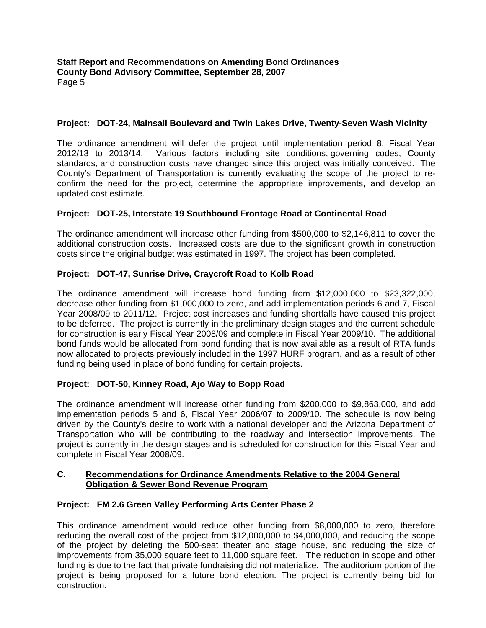### **Project: DOT-24, Mainsail Boulevard and Twin Lakes Drive, Twenty-Seven Wash Vicinity**

The ordinance amendment will defer the project until implementation period 8, Fiscal Year 2012/13 to 2013/14. Various factors including site conditions, governing codes, County standards, and construction costs have changed since this project was initially conceived. The County's Department of Transportation is currently evaluating the scope of the project to reconfirm the need for the project, determine the appropriate improvements, and develop an updated cost estimate.

### **Project: DOT-25, Interstate 19 Southbound Frontage Road at Continental Road**

The ordinance amendment will increase other funding from \$500,000 to \$2,146,811 to cover the additional construction costs. Increased costs are due to the significant growth in construction costs since the original budget was estimated in 1997. The project has been completed.

### **Project: DOT-47, Sunrise Drive, Craycroft Road to Kolb Road**

The ordinance amendment will increase bond funding from \$12,000,000 to \$23,322,000, decrease other funding from \$1,000,000 to zero, and add implementation periods 6 and 7, Fiscal Year 2008/09 to 2011/12. Project cost increases and funding shortfalls have caused this project to be deferred. The project is currently in the preliminary design stages and the current schedule for construction is early Fiscal Year 2008/09 and complete in Fiscal Year 2009/10.The additional bond funds would be allocated from bond funding that is now available as a result of RTA funds now allocated to projects previously included in the 1997 HURF program, and as a result of other funding being used in place of bond funding for certain projects.

### **Project: DOT-50, Kinney Road, Ajo Way to Bopp Road**

The ordinance amendment will increase other funding from \$200,000 to \$9,863,000, and add implementation periods 5 and 6, Fiscal Year 2006/07 to 2009/10*.* The schedule is now being driven by the County's desire to work with a national developer and the Arizona Department of Transportation who will be contributing to the roadway and intersection improvements. The project is currently in the design stages and is scheduled for construction for this Fiscal Year and complete in Fiscal Year 2008/09.

### **C. Recommendations for Ordinance Amendments Relative to the 2004 General Obligation & Sewer Bond Revenue Program**

### **Project: FM 2.6 Green Valley Performing Arts Center Phase 2**

This ordinance amendment would reduce other funding from \$8,000,000 to zero, therefore reducing the overall cost of the project from \$12,000,000 to \$4,000,000, and reducing the scope of the project by deleting the 500-seat theater and stage house, and reducing the size of improvements from 35,000 square feet to 11,000 square feet. The reduction in scope and other funding is due to the fact that private fundraising did not materialize. The auditorium portion of the project is being proposed for a future bond election. The project is currently being bid for construction.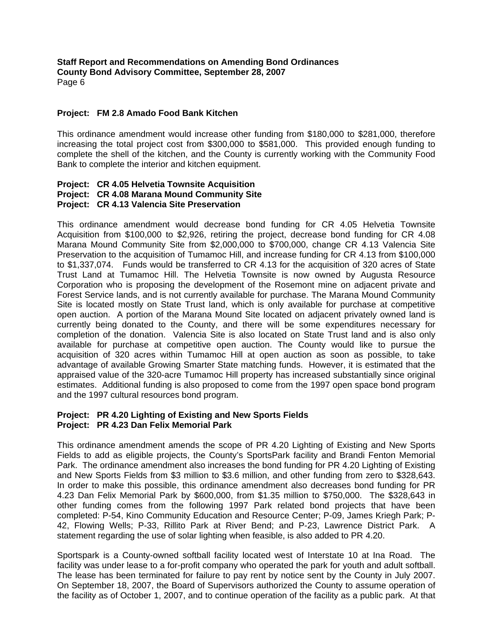**Staff Report and Recommendations on Amending Bond Ordinances County Bond Advisory Committee, September 28, 2007**  Page 6

### **Project: FM 2.8 Amado Food Bank Kitchen**

This ordinance amendment would increase other funding from \$180,000 to \$281,000, therefore increasing the total project cost from \$300,000 to \$581,000. This provided enough funding to complete the shell of the kitchen, and the County is currently working with the Community Food Bank to complete the interior and kitchen equipment.

### **Project: CR 4.05 Helvetia Townsite Acquisition Project: CR 4.08 Marana Mound Community Site Project: CR 4.13 Valencia Site Preservation**

This ordinance amendment would decrease bond funding for CR 4.05 Helvetia Townsite Acquisition from \$100,000 to \$2,926, retiring the project, decrease bond funding for CR 4.08 Marana Mound Community Site from \$2,000,000 to \$700,000, change CR 4.13 Valencia Site Preservation to the acquisition of Tumamoc Hill, and increase funding for CR 4.13 from \$100,000 to \$1,337,074. Funds would be transferred to CR 4.13 for the acquisition of 320 acres of State Trust Land at Tumamoc Hill. The Helvetia Townsite is now owned by Augusta Resource Corporation who is proposing the development of the Rosemont mine on adjacent private and Forest Service lands, and is not currently available for purchase. The Marana Mound Community Site is located mostly on State Trust land, which is only available for purchase at competitive open auction. A portion of the Marana Mound Site located on adjacent privately owned land is currently being donated to the County, and there will be some expenditures necessary for completion of the donation. Valencia Site is also located on State Trust land and is also only available for purchase at competitive open auction. The County would like to pursue the acquisition of 320 acres within Tumamoc Hill at open auction as soon as possible, to take advantage of available Growing Smarter State matching funds. However, it is estimated that the appraised value of the 320-acre Tumamoc Hill property has increased substantially since original estimates. Additional funding is also proposed to come from the 1997 open space bond program and the 1997 cultural resources bond program.

### **Project: PR 4.20 Lighting of Existing and New Sports Fields Project: PR 4.23 Dan Felix Memorial Park**

This ordinance amendment amends the scope of PR 4.20 Lighting of Existing and New Sports Fields to add as eligible projects, the County's SportsPark facility and Brandi Fenton Memorial Park. The ordinance amendment also increases the bond funding for PR 4.20 Lighting of Existing and New Sports Fields from \$3 million to \$3.6 million, and other funding from zero to \$328,643. In order to make this possible, this ordinance amendment also decreases bond funding for PR 4.23 Dan Felix Memorial Park by \$600,000, from \$1.35 million to \$750,000. The \$328,643 in other funding comes from the following 1997 Park related bond projects that have been completed: P-54, Kino Community Education and Resource Center; P-09, James Kriegh Park; P-42, Flowing Wells; P-33, Rillito Park at River Bend; and P-23, Lawrence District Park. A statement regarding the use of solar lighting when feasible, is also added to PR 4.20.

Sportspark is a County-owned softball facility located west of Interstate 10 at Ina Road. The facility was under lease to a for-profit company who operated the park for youth and adult softball. The lease has been terminated for failure to pay rent by notice sent by the County in July 2007. On September 18, 2007, the Board of Supervisors authorized the County to assume operation of the facility as of October 1, 2007, and to continue operation of the facility as a public park. At that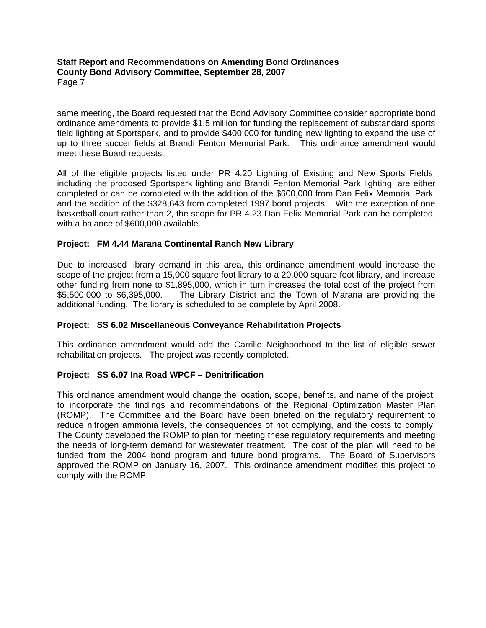#### **Staff Report and Recommendations on Amending Bond Ordinances County Bond Advisory Committee, September 28, 2007**  Page 7

same meeting, the Board requested that the Bond Advisory Committee consider appropriate bond ordinance amendments to provide \$1.5 million for funding the replacement of substandard sports field lighting at Sportspark, and to provide \$400,000 for funding new lighting to expand the use of up to three soccer fields at Brandi Fenton Memorial Park. This ordinance amendment would meet these Board requests.

All of the eligible projects listed under PR 4.20 Lighting of Existing and New Sports Fields, including the proposed Sportspark lighting and Brandi Fenton Memorial Park lighting, are either completed or can be completed with the addition of the \$600,000 from Dan Felix Memorial Park, and the addition of the \$328,643 from completed 1997 bond projects. With the exception of one basketball court rather than 2, the scope for PR 4.23 Dan Felix Memorial Park can be completed, with a balance of \$600,000 available.

### **Project: FM 4.44 Marana Continental Ranch New Library**

Due to increased library demand in this area, this ordinance amendment would increase the scope of the project from a 15,000 square foot library to a 20,000 square foot library, and increase other funding from none to \$1,895,000, which in turn increases the total cost of the project from \$5,500,000 to \$6,395,000. The Library District and the Town of Marana are providing the additional funding. The library is scheduled to be complete by April 2008.

### **Project: SS 6.02 Miscellaneous Conveyance Rehabilitation Projects**

This ordinance amendment would add the Carrillo Neighborhood to the list of eligible sewer rehabilitation projects. The project was recently completed.

### **Project: SS 6.07 Ina Road WPCF – Denitrification**

This ordinance amendment would change the location, scope, benefits, and name of the project, to incorporate the findings and recommendations of the Regional Optimization Master Plan (ROMP). The Committee and the Board have been briefed on the regulatory requirement to reduce nitrogen ammonia levels, the consequences of not complying, and the costs to comply. The County developed the ROMP to plan for meeting these regulatory requirements and meeting the needs of long-term demand for wastewater treatment. The cost of the plan will need to be funded from the 2004 bond program and future bond programs. The Board of Supervisors approved the ROMP on January 16, 2007. This ordinance amendment modifies this project to comply with the ROMP.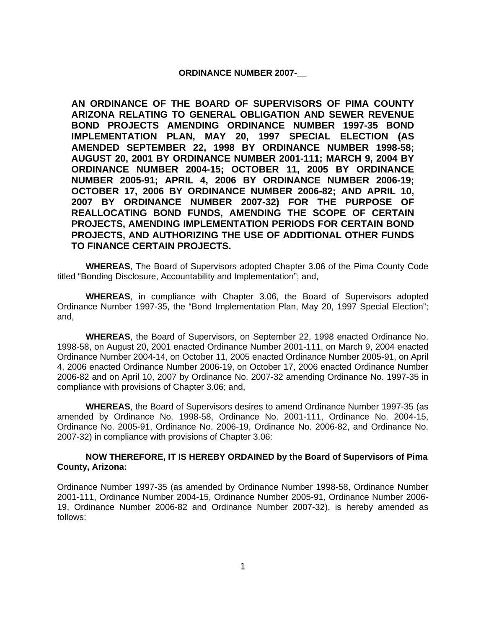#### **ORDINANCE NUMBER 2007-**

**AN ORDINANCE OF THE BOARD OF SUPERVISORS OF PIMA COUNTY ARIZONA RELATING TO GENERAL OBLIGATION AND SEWER REVENUE BOND PROJECTS AMENDING ORDINANCE NUMBER 1997-35 BOND IMPLEMENTATION PLAN, MAY 20, 1997 SPECIAL ELECTION (AS AMENDED SEPTEMBER 22, 1998 BY ORDINANCE NUMBER 1998-58; AUGUST 20, 2001 BY ORDINANCE NUMBER 2001-111; MARCH 9, 2004 BY ORDINANCE NUMBER 2004-15; OCTOBER 11, 2005 BY ORDINANCE NUMBER 2005-91; APRIL 4, 2006 BY ORDINANCE NUMBER 2006-19; OCTOBER 17, 2006 BY ORDINANCE NUMBER 2006-82; AND APRIL 10, 2007 BY ORDINANCE NUMBER 2007-32) FOR THE PURPOSE OF REALLOCATING BOND FUNDS, AMENDING THE SCOPE OF CERTAIN PROJECTS, AMENDING IMPLEMENTATION PERIODS FOR CERTAIN BOND PROJECTS, AND AUTHORIZING THE USE OF ADDITIONAL OTHER FUNDS TO FINANCE CERTAIN PROJECTS.** 

**WHEREAS**, The Board of Supervisors adopted Chapter 3.06 of the Pima County Code titled "Bonding Disclosure, Accountability and Implementation"; and,

**WHEREAS**, in compliance with Chapter 3.06, the Board of Supervisors adopted Ordinance Number 1997-35, the "Bond Implementation Plan, May 20, 1997 Special Election"; and,

**WHEREAS**, the Board of Supervisors, on September 22, 1998 enacted Ordinance No. 1998-58, on August 20, 2001 enacted Ordinance Number 2001-111, on March 9, 2004 enacted Ordinance Number 2004-14, on October 11, 2005 enacted Ordinance Number 2005-91, on April 4, 2006 enacted Ordinance Number 2006-19, on October 17, 2006 enacted Ordinance Number 2006-82 and on April 10, 2007 by Ordinance No. 2007-32 amending Ordinance No. 1997-35 in compliance with provisions of Chapter 3.06; and,

**WHEREAS**, the Board of Supervisors desires to amend Ordinance Number 1997-35 (as amended by Ordinance No. 1998-58, Ordinance No. 2001-111, Ordinance No. 2004-15, Ordinance No. 2005-91, Ordinance No. 2006-19, Ordinance No. 2006-82, and Ordinance No. 2007-32) in compliance with provisions of Chapter 3.06:

#### **NOW THEREFORE, IT IS HEREBY ORDAINED by the Board of Supervisors of Pima County, Arizona:**

Ordinance Number 1997-35 (as amended by Ordinance Number 1998-58, Ordinance Number 2001-111, Ordinance Number 2004-15, Ordinance Number 2005-91, Ordinance Number 2006- 19, Ordinance Number 2006-82 and Ordinance Number 2007-32), is hereby amended as follows: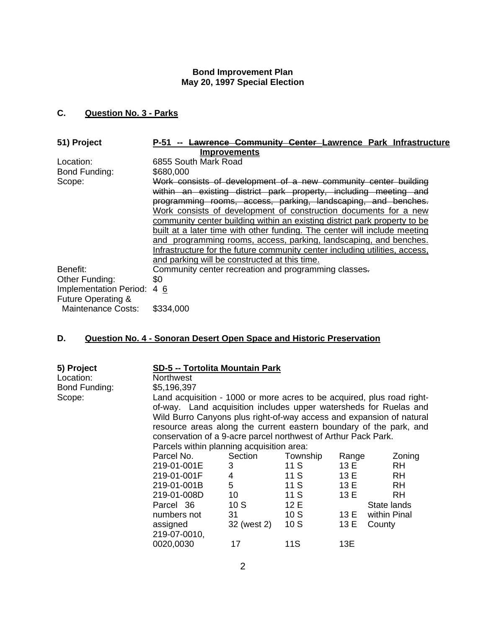### **Bond Improvement Plan May 20, 1997 Special Election**

### **C. Question No. 3 - Parks**

| 51) Project                   | Lawrence Community Center Lawrence Park Infrastructure<br>P-51              |  |  |
|-------------------------------|-----------------------------------------------------------------------------|--|--|
|                               | <u>Improvements</u>                                                         |  |  |
| Location:                     | 6855 South Mark Road                                                        |  |  |
| Bond Funding:                 | \$680,000                                                                   |  |  |
| Scope:                        | Work consists of development of a new community center building             |  |  |
|                               | within an existing district park property, including meeting and            |  |  |
|                               | programming rooms, access, parking, landscaping, and benches.               |  |  |
|                               | Work consists of development of construction documents for a new            |  |  |
|                               | community center building within an existing district park property to be   |  |  |
|                               | built at a later time with other funding. The center will include meeting   |  |  |
|                               | and programming rooms, access, parking, landscaping, and benches.           |  |  |
|                               | Infrastructure for the future community center including utilities, access, |  |  |
|                               | and parking will be constructed at this time.                               |  |  |
| Benefit:                      | Community center recreation and programming classes.                        |  |  |
| Other Funding:                | \$0                                                                         |  |  |
| Implementation Period:        | 46                                                                          |  |  |
| <b>Future Operating &amp;</b> |                                                                             |  |  |
| <b>Maintenance Costs:</b>     | \$334,000                                                                   |  |  |

### **D. Question No. 4 - Sonoran Desert Open Space and Historic Preservation**

| 5) Project    | SD-5 -- Tortolita Mountain Park                                                                                                                                                                                                                                                                                                                             |             |          |       |              |
|---------------|-------------------------------------------------------------------------------------------------------------------------------------------------------------------------------------------------------------------------------------------------------------------------------------------------------------------------------------------------------------|-------------|----------|-------|--------------|
| Location:     | Northwest                                                                                                                                                                                                                                                                                                                                                   |             |          |       |              |
| Bond Funding: | \$5,196,397                                                                                                                                                                                                                                                                                                                                                 |             |          |       |              |
| Scope:        | Land acquisition - 1000 or more acres to be acquired, plus road right-<br>of-way. Land acquisition includes upper watersheds for Ruelas and<br>Wild Burro Canyons plus right-of-way access and expansion of natural<br>resource areas along the current eastern boundary of the park, and<br>conservation of a 9-acre parcel northwest of Arthur Pack Park. |             |          |       |              |
|               | Parcels within planning acquisition area:                                                                                                                                                                                                                                                                                                                   |             |          |       |              |
|               | Parcel No.                                                                                                                                                                                                                                                                                                                                                  | Section     | Township | Range | Zoning       |
|               | 219-01-001E                                                                                                                                                                                                                                                                                                                                                 | 3           | 11 S     | 13 E  | RH.          |
|               | 219-01-001F                                                                                                                                                                                                                                                                                                                                                 | 4           | 11 S     | 13 E  | <b>RH</b>    |
|               | 219-01-001B                                                                                                                                                                                                                                                                                                                                                 | 5           | 11S      | 13 E  | <b>RH</b>    |
|               | 219-01-008D                                                                                                                                                                                                                                                                                                                                                 | 10          | 11S      | 13 E  | <b>RH</b>    |
|               | Parcel 36                                                                                                                                                                                                                                                                                                                                                   | 10S         | 12 E     |       | State lands  |
|               | numbers not                                                                                                                                                                                                                                                                                                                                                 | 31          | 10S      | 13 E  | within Pinal |
|               | assigned<br>219-07-0010,                                                                                                                                                                                                                                                                                                                                    | 32 (west 2) | 10S      | 13 E  | County       |
|               | 0020,0030                                                                                                                                                                                                                                                                                                                                                   | 17          | 11S      | 13E   |              |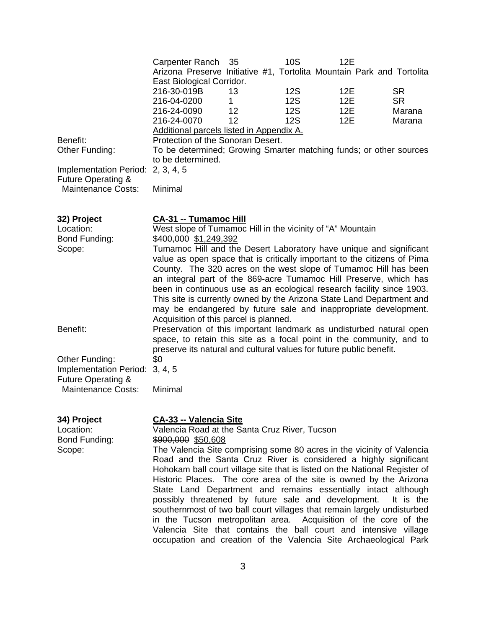| Benefit:<br>Other Funding:<br>Implementation Period: 2, 3, 4, 5<br><b>Future Operating &amp;</b><br><b>Maintenance Costs:</b> | Carpenter Ranch<br>Arizona Preserve Initiative #1, Tortolita Mountain Park and Tortolita<br>East Biological Corridor.<br>216-30-019B<br>216-04-0200<br>216-24-0090<br>216-24-0070<br>Additional parcels listed in Appendix A.<br>Protection of the Sonoran Desert.<br>To be determined; Growing Smarter matching funds; or other sources<br>to be determined.<br>Minimal                                                                                                                                                                                                                                                                                                                                                                                                                                                                                                                                              | 35<br>13<br>1<br>12<br>12 | 10S<br>12S<br><b>12S</b><br><b>12S</b><br><b>12S</b> | 12E<br>12E<br>12E<br>12E<br>12E | <b>SR</b><br><b>SR</b><br>Marana<br>Marana |
|-------------------------------------------------------------------------------------------------------------------------------|-----------------------------------------------------------------------------------------------------------------------------------------------------------------------------------------------------------------------------------------------------------------------------------------------------------------------------------------------------------------------------------------------------------------------------------------------------------------------------------------------------------------------------------------------------------------------------------------------------------------------------------------------------------------------------------------------------------------------------------------------------------------------------------------------------------------------------------------------------------------------------------------------------------------------|---------------------------|------------------------------------------------------|---------------------------------|--------------------------------------------|
| 32) Project<br>Location:<br>Bond Funding:<br>Scope:<br>Benefit:                                                               | <b>CA-31 -- Tumamoc Hill</b><br>West slope of Tumamoc Hill in the vicinity of "A" Mountain<br>\$400,000 \$1,249,392<br>Tumamoc Hill and the Desert Laboratory have unique and significant<br>value as open space that is critically important to the citizens of Pima<br>County. The 320 acres on the west slope of Tumamoc Hill has been<br>an integral part of the 869-acre Tumamoc Hill Preserve, which has<br>been in continuous use as an ecological research facility since 1903.<br>This site is currently owned by the Arizona State Land Department and<br>may be endangered by future sale and inappropriate development.<br>Acquisition of this parcel is planned.<br>Preservation of this important landmark as undisturbed natural open<br>space, to retain this site as a focal point in the community, and to<br>preserve its natural and cultural values for future public benefit.<br>\$0<br>Minimal |                           |                                                      |                                 |                                            |
| Other Funding:<br>Implementation Period: 3, 4, 5<br><b>Future Operating &amp;</b><br><b>Maintenance Costs:</b>                |                                                                                                                                                                                                                                                                                                                                                                                                                                                                                                                                                                                                                                                                                                                                                                                                                                                                                                                       |                           |                                                      |                                 |                                            |
| 34) Project<br>Location:<br>Bond Funding:<br>Scope:                                                                           | <b>CA-33 -- Valencia Site</b><br>Valencia Road at the Santa Cruz River, Tucson<br>\$900,000 \$50,608<br>The Valencia Site comprising some 80 acres in the vicinity of Valencia<br>Road and the Santa Cruz River is considered a highly significant<br>Hohokam ball court village site that is listed on the National Register of<br>Historic Places. The core area of the site is owned by the Arizona<br>State Land Department and remains essentially intact although<br>possibly threatened by future sale and development.<br>southernmost of two ball court villages that remain largely undisturbed                                                                                                                                                                                                                                                                                                             |                           |                                                      |                                 | It is the                                  |

in the Tucson metropolitan area. Acquisition of the core of the Valencia Site that contains the ball court and intensive village occupation and creation of the Valencia Site Archaeological Park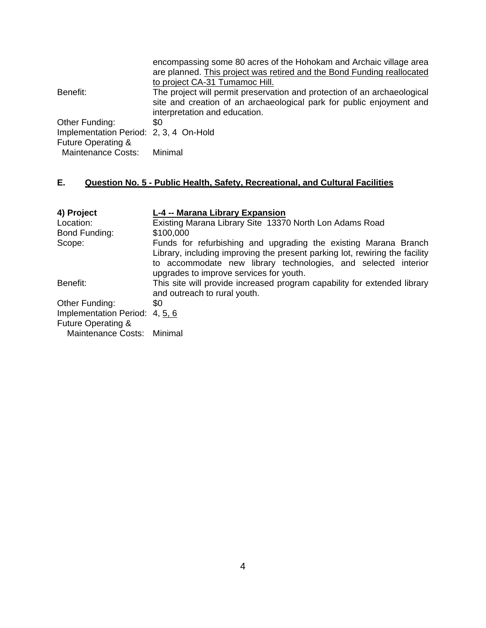|                                        | encompassing some 80 acres of the Hohokam and Archaic village area       |
|----------------------------------------|--------------------------------------------------------------------------|
|                                        | are planned. This project was retired and the Bond Funding reallocated   |
|                                        | to project CA-31 Tumamoc Hill.                                           |
| Benefit:                               | The project will permit preservation and protection of an archaeological |
|                                        | site and creation of an archaeological park for public enjoyment and     |
|                                        | interpretation and education.                                            |
| Other Funding:                         | \$0                                                                      |
| Implementation Period: 2, 3, 4 On-Hold |                                                                          |
| <b>Future Operating &amp;</b>          |                                                                          |
| <b>Maintenance Costs:</b>              | Minimal                                                                  |

### **E. Question No. 5 - Public Health, Safety, Recreational, and Cultural Facilities**

| 4) Project<br>Location:<br>Bond Funding:                        | L-4 -- Marana Library Expansion<br>Existing Marana Library Site 13370 North Lon Adams Road<br>\$100,000                                                                                                                                                     |
|-----------------------------------------------------------------|-------------------------------------------------------------------------------------------------------------------------------------------------------------------------------------------------------------------------------------------------------------|
| Scope:                                                          | Funds for refurbishing and upgrading the existing Marana Branch<br>Library, including improving the present parking lot, rewiring the facility<br>to accommodate new library technologies, and selected interior<br>upgrades to improve services for youth. |
| Benefit:                                                        | This site will provide increased program capability for extended library<br>and outreach to rural youth.                                                                                                                                                    |
| Other Funding:                                                  | \$0                                                                                                                                                                                                                                                         |
| Implementation Period: 4, 5, 6<br><b>Future Operating &amp;</b> |                                                                                                                                                                                                                                                             |
| <b>Maintenance Costs:</b>                                       | Minimal                                                                                                                                                                                                                                                     |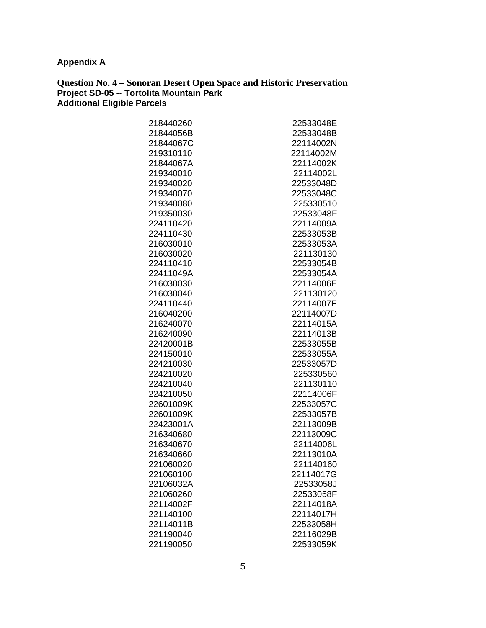## **Appendix A**

**Question No. 4 – Sonoran Desert Open Space and Historic Preservation Project SD-05 -- Tortolita Mountain Park Additional Eligible Parcels** 

| 218440260 | 22533048E |
|-----------|-----------|
| 21844056B | 22533048B |
| 21844067C | 22114002N |
| 219310110 | 22114002M |
| 21844067A | 22114002K |
| 219340010 | 22114002L |
| 219340020 | 22533048D |
| 219340070 | 22533048C |
| 219340080 | 225330510 |
| 219350030 | 22533048F |
| 224110420 | 22114009A |
| 224110430 | 22533053B |
| 216030010 | 22533053A |
| 216030020 | 221130130 |
| 224110410 | 22533054B |
| 22411049A | 22533054A |
| 216030030 | 22114006E |
| 216030040 | 221130120 |
| 224110440 | 22114007E |
| 216040200 | 22114007D |
| 216240070 | 22114015A |
| 216240090 | 22114013B |
| 22420001B | 22533055B |
| 224150010 | 22533055A |
| 224210030 | 22533057D |
| 224210020 | 225330560 |
| 224210040 | 221130110 |
| 224210050 | 22114006F |
| 22601009K | 22533057C |
| 22601009K | 22533057B |
| 22423001A | 22113009B |
| 216340680 | 22113009C |
| 216340670 | 22114006L |
| 216340660 | 22113010A |
| 221060020 | 221140160 |
| 221060100 | 22114017G |
| 22106032A | 22533058J |
| 221060260 | 22533058F |
| 22114002F | 22114018A |
| 221140100 | 22114017H |
| 22114011B | 22533058H |
| 221190040 | 22116029B |
| 221190050 | 22533059K |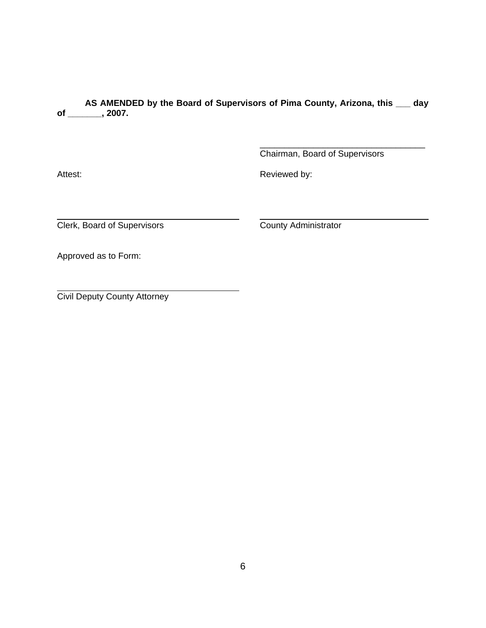**AS AMENDED by the Board of Supervisors of Pima County, Arizona, this \_\_\_ day of \_\_\_\_\_\_\_, 2007.**

Chairman, Board of Supervisors

 $\mathcal{L}=\mathcal{L}=\mathcal{L}=\mathcal{L}=\mathcal{L}=\mathcal{L}=\mathcal{L}=\mathcal{L}=\mathcal{L}=\mathcal{L}=\mathcal{L}=\mathcal{L}=\mathcal{L}=\mathcal{L}=\mathcal{L}=\mathcal{L}=\mathcal{L}=\mathcal{L}=\mathcal{L}=\mathcal{L}=\mathcal{L}=\mathcal{L}=\mathcal{L}=\mathcal{L}=\mathcal{L}=\mathcal{L}=\mathcal{L}=\mathcal{L}=\mathcal{L}=\mathcal{L}=\mathcal{L}=\mathcal{L}=\mathcal{L}=\mathcal{L}=\mathcal{L}=\mathcal{L}=\mathcal{$ 

 $\overline{a}$ 

 $\overline{a}$ 

Attest: **Attest: Reviewed by: Reviewed by:** 

Clerk, Board of Supervisors **County Administrator** 

Approved as to Form:

Civil Deputy County Attorney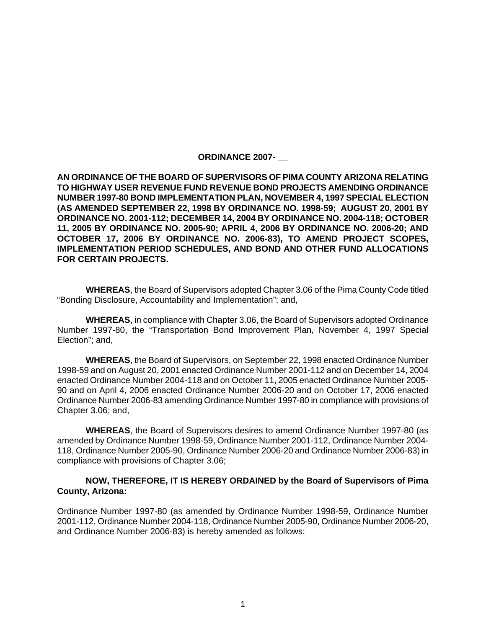### **ORDINANCE 2007- \_\_**

**AN ORDINANCE OF THE BOARD OF SUPERVISORS OF PIMA COUNTY ARIZONA RELATING TO HIGHWAY USER REVENUE FUND REVENUE BOND PROJECTS AMENDING ORDINANCE NUMBER 1997-80 BOND IMPLEMENTATION PLAN, NOVEMBER 4, 1997 SPECIAL ELECTION (AS AMENDED SEPTEMBER 22, 1998 BY ORDINANCE NO. 1998-59; AUGUST 20, 2001 BY ORDINANCE NO. 2001-112; DECEMBER 14, 2004 BY ORDINANCE NO. 2004-118; OCTOBER 11, 2005 BY ORDINANCE NO. 2005-90; APRIL 4, 2006 BY ORDINANCE NO. 2006-20; AND OCTOBER 17, 2006 BY ORDINANCE NO. 2006-83), TO AMEND PROJECT SCOPES, IMPLEMENTATION PERIOD SCHEDULES, AND BOND AND OTHER FUND ALLOCATIONS FOR CERTAIN PROJECTS.** 

**WHEREAS**, the Board of Supervisors adopted Chapter 3.06 of the Pima County Code titled "Bonding Disclosure, Accountability and Implementation"; and,

**WHEREAS**, in compliance with Chapter 3.06, the Board of Supervisors adopted Ordinance Number 1997-80, the "Transportation Bond Improvement Plan, November 4, 1997 Special Election"; and,

**WHEREAS**, the Board of Supervisors, on September 22, 1998 enacted Ordinance Number 1998-59 and on August 20, 2001 enacted Ordinance Number 2001-112 and on December 14, 2004 enacted Ordinance Number 2004-118 and on October 11, 2005 enacted Ordinance Number 2005- 90 and on April 4, 2006 enacted Ordinance Number 2006-20 and on October 17, 2006 enacted Ordinance Number 2006-83 amending Ordinance Number 1997-80 in compliance with provisions of Chapter 3.06; and,

**WHEREAS**, the Board of Supervisors desires to amend Ordinance Number 1997-80 (as amended by Ordinance Number 1998-59, Ordinance Number 2001-112, Ordinance Number 2004- 118, Ordinance Number 2005-90, Ordinance Number 2006-20 and Ordinance Number 2006-83) in compliance with provisions of Chapter 3.06;

### **NOW, THEREFORE, IT IS HEREBY ORDAINED by the Board of Supervisors of Pima County, Arizona:**

Ordinance Number 1997-80 (as amended by Ordinance Number 1998-59, Ordinance Number 2001-112, Ordinance Number 2004-118, Ordinance Number 2005-90, Ordinance Number 2006-20, and Ordinance Number 2006-83) is hereby amended as follows: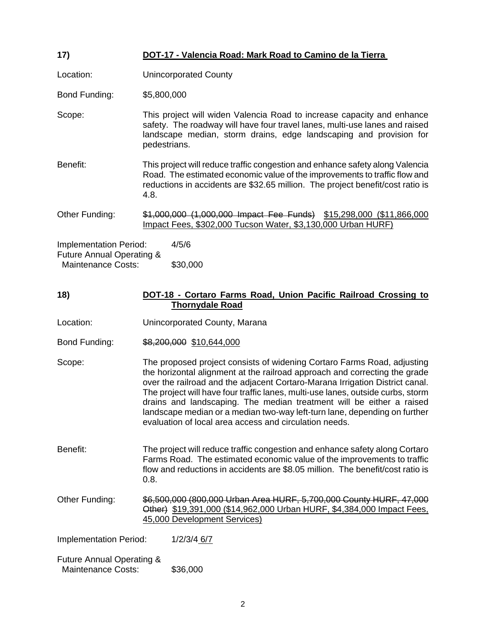| 17)                                                               | DOT-17 - Valencia Road: Mark Road to Camino de la Tierra                                                                                                                                                                                                                                                                                                                                                                                                                                                                                |  |  |
|-------------------------------------------------------------------|-----------------------------------------------------------------------------------------------------------------------------------------------------------------------------------------------------------------------------------------------------------------------------------------------------------------------------------------------------------------------------------------------------------------------------------------------------------------------------------------------------------------------------------------|--|--|
| Location:                                                         | <b>Unincorporated County</b>                                                                                                                                                                                                                                                                                                                                                                                                                                                                                                            |  |  |
| Bond Funding:                                                     | \$5,800,000                                                                                                                                                                                                                                                                                                                                                                                                                                                                                                                             |  |  |
| Scope:                                                            | This project will widen Valencia Road to increase capacity and enhance<br>safety. The roadway will have four travel lanes, multi-use lanes and raised<br>landscape median, storm drains, edge landscaping and provision for<br>pedestrians.                                                                                                                                                                                                                                                                                             |  |  |
| Benefit:                                                          | This project will reduce traffic congestion and enhance safety along Valencia<br>Road. The estimated economic value of the improvements to traffic flow and<br>reductions in accidents are \$32.65 million. The project benefit/cost ratio is<br>4.8.                                                                                                                                                                                                                                                                                   |  |  |
| Other Funding:                                                    | \$1,000,000 (1,000,000 Impact Fee Funds) \$15,298,000 (\$11,866,000<br>Impact Fees, \$302,000 Tucson Water, \$3,130,000 Urban HURF)                                                                                                                                                                                                                                                                                                                                                                                                     |  |  |
| <b>Implementation Period:</b>                                     | 4/5/6                                                                                                                                                                                                                                                                                                                                                                                                                                                                                                                                   |  |  |
| <b>Future Annual Operating &amp;</b><br><b>Maintenance Costs:</b> | \$30,000                                                                                                                                                                                                                                                                                                                                                                                                                                                                                                                                |  |  |
| 18)                                                               | DOT-18 - Cortaro Farms Road, Union Pacific Railroad Crossing to<br><b>Thornydale Road</b>                                                                                                                                                                                                                                                                                                                                                                                                                                               |  |  |
| Location:                                                         | Unincorporated County, Marana                                                                                                                                                                                                                                                                                                                                                                                                                                                                                                           |  |  |
| Bond Funding:                                                     | \$8,200,000 \$10,644,000                                                                                                                                                                                                                                                                                                                                                                                                                                                                                                                |  |  |
| Scope:                                                            | The proposed project consists of widening Cortaro Farms Road, adjusting<br>the horizontal alignment at the railroad approach and correcting the grade<br>over the railroad and the adjacent Cortaro-Marana Irrigation District canal.<br>The project will have four traffic lanes, multi-use lanes, outside curbs, storm<br>drains and landscaping. The median treatment will be either a raised<br>landscape median or a median two-way left-turn lane, depending on further<br>evaluation of local area access and circulation needs. |  |  |
| Benefit:                                                          | The project will reduce traffic congestion and enhance safety along Cortaro<br>Farms Road. The estimated economic value of the improvements to traffic<br>flow and reductions in accidents are \$8.05 million. The benefit/cost ratio is<br>0.8.                                                                                                                                                                                                                                                                                        |  |  |
| Other Funding:                                                    | \$6,500,000 (800,000 Urban Area HURF, 5,700,000 County HURF, 47,000<br>Other) \$19,391,000 (\$14,962,000 Urban HURF, \$4,384,000 Impact Fees,<br>45,000 Development Services)                                                                                                                                                                                                                                                                                                                                                           |  |  |
| <b>Implementation Period:</b>                                     | 1/2/3/4 6/7                                                                                                                                                                                                                                                                                                                                                                                                                                                                                                                             |  |  |
| <b>Future Annual Operating &amp;</b><br><b>Maintenance Costs:</b> | \$36,000                                                                                                                                                                                                                                                                                                                                                                                                                                                                                                                                |  |  |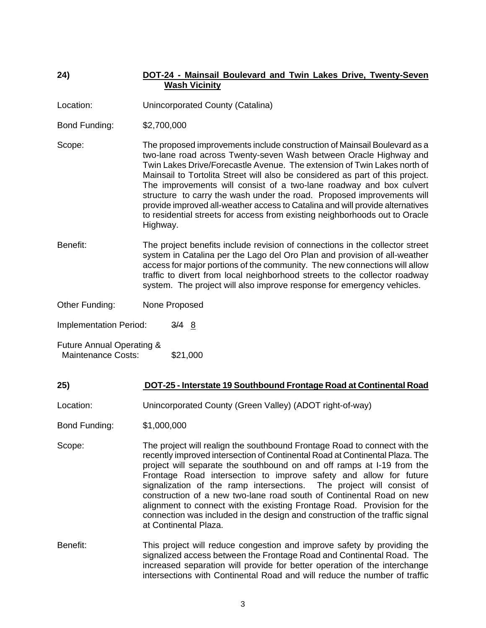### **24) DOT-24 - Mainsail Boulevard and Twin Lakes Drive, Twenty-Seven Wash Vicinity**

- Location: Unincorporated County (Catalina)
- Bond Funding: \$2,700,000

Scope: The proposed improvements include construction of Mainsail Boulevard as a two-lane road across Twenty-seven Wash between Oracle Highway and Twin Lakes Drive/Forecastle Avenue. The extension of Twin Lakes north of Mainsail to Tortolita Street will also be considered as part of this project. The improvements will consist of a two-lane roadway and box culvert structure to carry the wash under the road. Proposed improvements will provide improved all-weather access to Catalina and will provide alternatives to residential streets for access from existing neighborhoods out to Oracle Highway.

- Benefit: The project benefits include revision of connections in the collector street system in Catalina per the Lago del Oro Plan and provision of all-weather access for major portions of the community. The new connections will allow traffic to divert from local neighborhood streets to the collector roadway system. The project will also improve response for emergency vehicles.
- Other Funding: None Proposed

Implementation Period: 3/4 8

Future Annual Operating & Maintenance Costs: \$21,000

### **25) DOT-25 - Interstate 19 Southbound Frontage Road at Continental Road**

Location: Unincorporated County (Green Valley) (ADOT right-of-way)

- Bond Funding: \$1,000,000
- Scope: The project will realign the southbound Frontage Road to connect with the recently improved intersection of Continental Road at Continental Plaza. The project will separate the southbound on and off ramps at I-19 from the Frontage Road intersection to improve safety and allow for future signalization of the ramp intersections. The project will consist of construction of a new two-lane road south of Continental Road on new alignment to connect with the existing Frontage Road. Provision for the connection was included in the design and construction of the traffic signal at Continental Plaza.
- Benefit: This project will reduce congestion and improve safety by providing the signalized access between the Frontage Road and Continental Road. The increased separation will provide for better operation of the interchange intersections with Continental Road and will reduce the number of traffic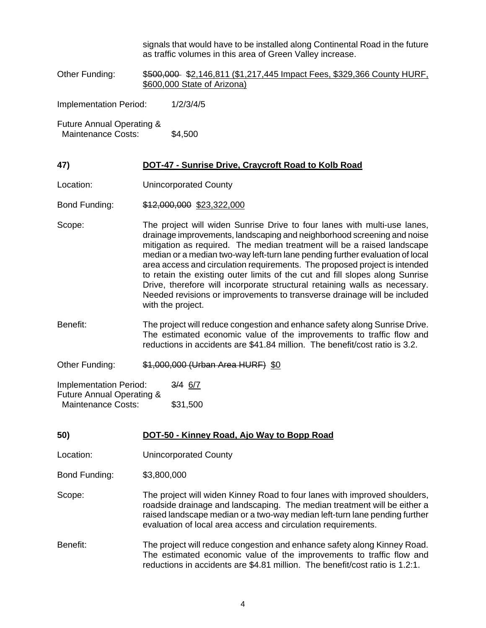signals that would have to be installed along Continental Road in the future as traffic volumes in this area of Green Valley increase.

Other Funding: \$500,000 \$2,146,811 (\$1,217,445 Impact Fees, \$329,366 County HURF, \$600,000 State of Arizona)

Implementation Period: 1/2/3/4/5

Future Annual Operating & Maintenance Costs: \$4,500

### **47) DOT-47 - Sunrise Drive, Craycroft Road to Kolb Road**

- Location: Unincorporated County
- Bond Funding: \$12,000,000 \$23,322,000
- Scope: The project will widen Sunrise Drive to four lanes with multi-use lanes, drainage improvements, landscaping and neighborhood screening and noise mitigation as required. The median treatment will be a raised landscape median or a median two-way left-turn lane pending further evaluation of local area access and circulation requirements. The proposed project is intended to retain the existing outer limits of the cut and fill slopes along Sunrise Drive, therefore will incorporate structural retaining walls as necessary. Needed revisions or improvements to transverse drainage will be included with the project.
- Benefit: The project will reduce congestion and enhance safety along Sunrise Drive. The estimated economic value of the improvements to traffic flow and reductions in accidents are \$41.84 million. The benefit/cost ratio is 3.2.

Other Funding: \$1,000,000 (Urban Area HURF) \$0

Implementation Period: 3/4 6/7 Future Annual Operating & Maintenance Costs: \$31,500

| 50)           | DOT-50 - Kinney Road, Ajo Way to Bopp Road                                                                                                                                                                                                                                                           |
|---------------|------------------------------------------------------------------------------------------------------------------------------------------------------------------------------------------------------------------------------------------------------------------------------------------------------|
| Location:     | Unincorporated County                                                                                                                                                                                                                                                                                |
| Bond Funding: | \$3,800,000                                                                                                                                                                                                                                                                                          |
| Scope:        | The project will widen Kinney Road to four lanes with improved shoulders,<br>roadside drainage and landscaping. The median treatment will be either a<br>raised landscape median or a two-way median left-turn lane pending further<br>evaluation of local area access and circulation requirements. |
| Benefit:      | The project will reduce congestion and enhance safety along Kinney Road.<br>The estimated economic value of the improvements to traffic flow and<br>reductions in accidents are \$4.81 million. The benefit/cost ratio is 1.2:1.                                                                     |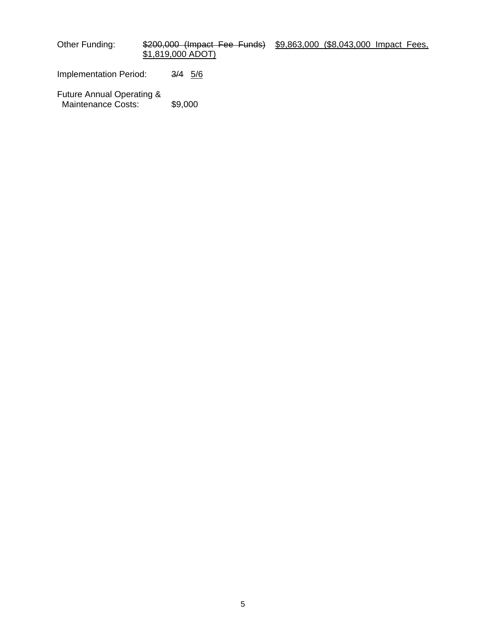Other Funding: \$200,000 (Impact Fee Funds) \$9,863,000 (\$8,043,000 Impact Fees, \$1,819,000 ADOT)

Implementation Period: 3/4 5/6

Future Annual Operating & Maintenance Costs: \$9,000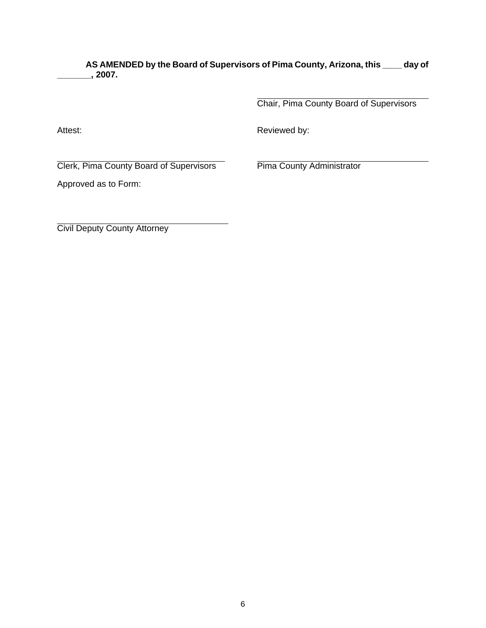**AS AMENDED by the Board of Supervisors of Pima County, Arizona, this \_\_\_\_ day of \_\_\_\_\_\_\_, 2007.** 

> $\overline{a}$ Chair, Pima County Board of Supervisors

Attest: **Attest: Reviewed by:** 

 $\overline{a}$ Clerk, Pima County Board of Supervisors Pima County Administrator

Approved as to Form:

 $\overline{a}$ Civil Deputy County Attorney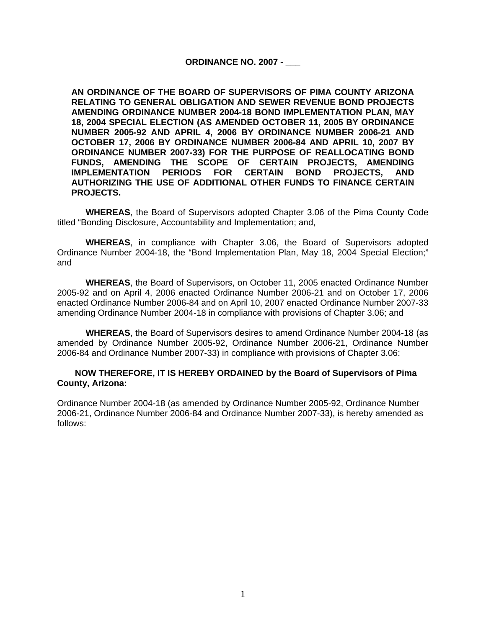### **ORDINANCE NO. 2007 - \_\_\_**

**AN ORDINANCE OF THE BOARD OF SUPERVISORS OF PIMA COUNTY ARIZONA RELATING TO GENERAL OBLIGATION AND SEWER REVENUE BOND PROJECTS AMENDING ORDINANCE NUMBER 2004-18 BOND IMPLEMENTATION PLAN, MAY 18, 2004 SPECIAL ELECTION (AS AMENDED OCTOBER 11, 2005 BY ORDINANCE NUMBER 2005-92 AND APRIL 4, 2006 BY ORDINANCE NUMBER 2006-21 AND OCTOBER 17, 2006 BY ORDINANCE NUMBER 2006-84 AND APRIL 10, 2007 BY ORDINANCE NUMBER 2007-33) FOR THE PURPOSE OF REALLOCATING BOND FUNDS, AMENDING THE SCOPE OF CERTAIN PROJECTS, AMENDING IMPLEMENTATION PERIODS FOR CERTAIN BOND PROJECTS, AND AUTHORIZING THE USE OF ADDITIONAL OTHER FUNDS TO FINANCE CERTAIN PROJECTS.** 

 **WHEREAS**, the Board of Supervisors adopted Chapter 3.06 of the Pima County Code titled "Bonding Disclosure, Accountability and Implementation; and,

**WHEREAS**, in compliance with Chapter 3.06, the Board of Supervisors adopted Ordinance Number 2004-18, the "Bond Implementation Plan, May 18, 2004 Special Election;" and

**WHEREAS**, the Board of Supervisors, on October 11, 2005 enacted Ordinance Number 2005-92 and on April 4, 2006 enacted Ordinance Number 2006-21 and on October 17, 2006 enacted Ordinance Number 2006-84 and on April 10, 2007 enacted Ordinance Number 2007-33 amending Ordinance Number 2004-18 in compliance with provisions of Chapter 3.06; and

**WHEREAS**, the Board of Supervisors desires to amend Ordinance Number 2004-18 (as amended by Ordinance Number 2005-92, Ordinance Number 2006-21, Ordinance Number 2006-84 and Ordinance Number 2007-33) in compliance with provisions of Chapter 3.06:

### **NOW THEREFORE, IT IS HEREBY ORDAINED by the Board of Supervisors of Pima County, Arizona:**

Ordinance Number 2004-18 (as amended by Ordinance Number 2005-92, Ordinance Number 2006-21, Ordinance Number 2006-84 and Ordinance Number 2007-33), is hereby amended as follows: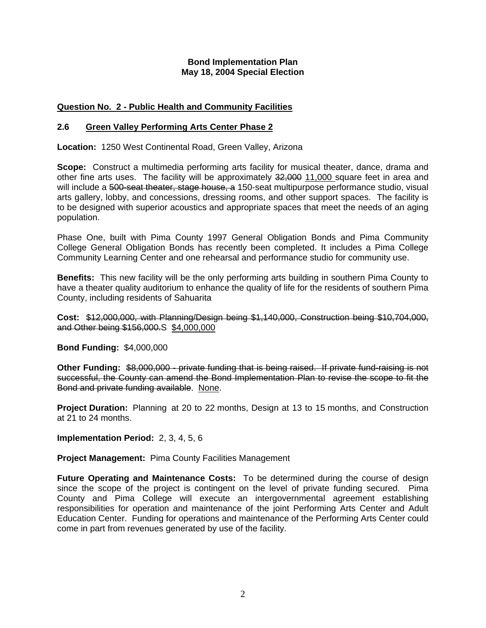### **Bond Implementation Plan May 18, 2004 Special Election**

### **Question No. 2 - Public Health and Community Facilities**

### **2.6 Green Valley Performing Arts Center Phase 2**

**Location:** 1250 West Continental Road, Green Valley, Arizona

**Scope:** Construct a multimedia performing arts facility for musical theater, dance, drama and other fine arts uses. The facility will be approximately 32,000 11,000 square feet in area and will include a 500-seat theater, stage house, a 150-seat multipurpose performance studio, visual arts gallery, lobby, and concessions, dressing rooms, and other support spaces. The facility is to be designed with superior acoustics and appropriate spaces that meet the needs of an aging population.

Phase One, built with Pima County 1997 General Obligation Bonds and Pima Community College General Obligation Bonds has recently been completed. It includes a Pima College Community Learning Center and one rehearsal and performance studio for community use.

**Benefits:** This new facility will be the only performing arts building in southern Pima County to have a theater quality auditorium to enhance the quality of life for the residents of southern Pima County, including residents of Sahuarita

**Cost:** \$12,000,000, with Planning/Design being \$1,140,000, Construction being \$10,704,000, and Other being \$156,000.S \$4,000,000

**Bond Funding:** \$4,000,000

**Other Funding:** \$8,000,000 - private funding that is being raised. If private fund-raising is not successful, the County can amend the Bond Implementation Plan to revise the scope to fit the Bond and private funding available. None.

**Project Duration:** Planning at 20 to 22 months, Design at 13 to 15 months, and Construction at 21 to 24 months.

**Implementation Period:** 2, 3, 4, 5, 6

**Project Management:** Pima County Facilities Management

**Future Operating and Maintenance Costs:** To be determined during the course of design since the scope of the project is contingent on the level of private funding secured. Pima County and Pima College will execute an intergovernmental agreement establishing responsibilities for operation and maintenance of the joint Performing Arts Center and Adult Education Center. Funding for operations and maintenance of the Performing Arts Center could come in part from revenues generated by use of the facility.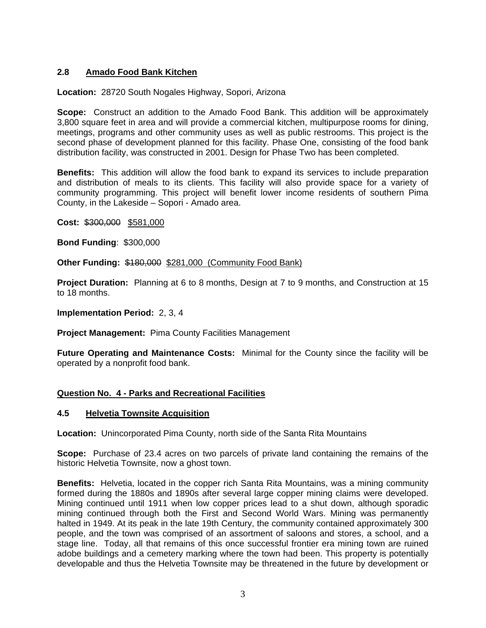### **2.8 Amado Food Bank Kitchen**

### **Location:** 28720 South Nogales Highway, Sopori, Arizona

**Scope:** Construct an addition to the Amado Food Bank. This addition will be approximately 3,800 square feet in area and will provide a commercial kitchen, multipurpose rooms for dining, meetings, programs and other community uses as well as public restrooms. This project is the second phase of development planned for this facility. Phase One, consisting of the food bank distribution facility, was constructed in 2001. Design for Phase Two has been completed.

**Benefits:** This addition will allow the food bank to expand its services to include preparation and distribution of meals to its clients. This facility will also provide space for a variety of community programming. This project will benefit lower income residents of southern Pima County, in the Lakeside – Sopori - Amado area.

**Cost:** \$300,000 \$581,000

**Bond Funding**: \$300,000

Other Funding: \$180,000 \$281,000 (Community Food Bank)

**Project Duration:** Planning at 6 to 8 months, Design at 7 to 9 months, and Construction at 15 to 18 months.

**Implementation Period:** 2, 3, 4

**Project Management:** Pima County Facilities Management

**Future Operating and Maintenance Costs:** Minimal for the County since the facility will be operated by a nonprofit food bank.

### **Question No. 4 - Parks and Recreational Facilities**

### **4.5 Helvetia Townsite Acquisition**

**Location:** Unincorporated Pima County, north side of the Santa Rita Mountains

**Scope:** Purchase of 23.4 acres on two parcels of private land containing the remains of the historic Helvetia Townsite, now a ghost town.

**Benefits:** Helvetia, located in the copper rich Santa Rita Mountains, was a mining community formed during the 1880s and 1890s after several large copper mining claims were developed. Mining continued until 1911 when low copper prices lead to a shut down, although sporadic mining continued through both the First and Second World Wars. Mining was permanently halted in 1949. At its peak in the late 19th Century, the community contained approximately 300 people, and the town was comprised of an assortment of saloons and stores, a school, and a stage line. Today, all that remains of this once successful frontier era mining town are ruined adobe buildings and a cemetery marking where the town had been. This property is potentially developable and thus the Helvetia Townsite may be threatened in the future by development or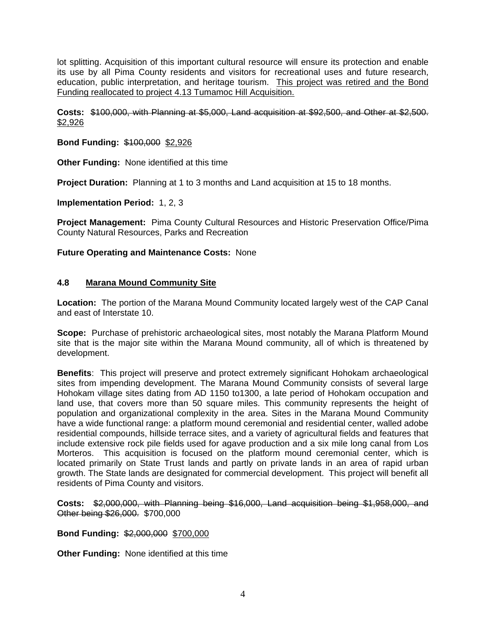lot splitting. Acquisition of this important cultural resource will ensure its protection and enable its use by all Pima County residents and visitors for recreational uses and future research, education, public interpretation, and heritage tourism. This project was retired and the Bond Funding reallocated to project 4.13 Tumamoc Hill Acquisition.

**Costs:** \$100,000, with Planning at \$5,000, Land acquisition at \$92,500, and Other at \$2,500. \$2,926

**Bond Funding:** \$100,000 \$2,926

**Other Funding:** None identified at this time

**Project Duration:** Planning at 1 to 3 months and Land acquisition at 15 to 18 months.

**Implementation Period:** 1, 2, 3

**Project Management:** Pima County Cultural Resources and Historic Preservation Office/Pima County Natural Resources, Parks and Recreation

**Future Operating and Maintenance Costs:** None

### **4.8 Marana Mound Community Site**

**Location:** The portion of the Marana Mound Community located largely west of the CAP Canal and east of Interstate 10.

**Scope:** Purchase of prehistoric archaeological sites, most notably the Marana Platform Mound site that is the major site within the Marana Mound community, all of which is threatened by development.

**Benefits**: This project will preserve and protect extremely significant Hohokam archaeological sites from impending development. The Marana Mound Community consists of several large Hohokam village sites dating from AD 1150 to1300, a late period of Hohokam occupation and land use, that covers more than 50 square miles. This community represents the height of population and organizational complexity in the area. Sites in the Marana Mound Community have a wide functional range: a platform mound ceremonial and residential center, walled adobe residential compounds, hillside terrace sites, and a variety of agricultural fields and features that include extensive rock pile fields used for agave production and a six mile long canal from Los Morteros. This acquisition is focused on the platform mound ceremonial center, which is located primarily on State Trust lands and partly on private lands in an area of rapid urban growth. The State lands are designated for commercial development. This project will benefit all residents of Pima County and visitors.

**Costs:** \$2,000,000, with Planning being \$16,000, Land acquisition being \$1,958,000, and Other being \$26,000. \$700,000

**Bond Funding:** \$2,000,000 \$700,000

**Other Funding:** None identified at this time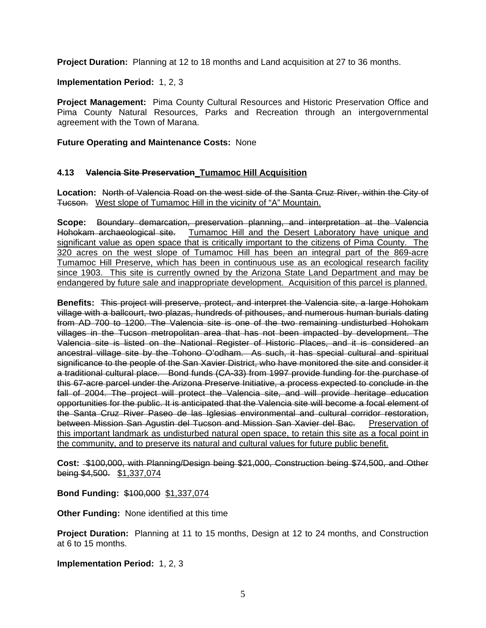**Project Duration:** Planning at 12 to 18 months and Land acquisition at 27 to 36 months.

**Implementation Period:** 1, 2, 3

**Project Management:** Pima County Cultural Resources and Historic Preservation Office and Pima County Natural Resources, Parks and Recreation through an intergovernmental agreement with the Town of Marana.

### **Future Operating and Maintenance Costs:** None

### **4.13 Valencia Site Preservation Tumamoc Hill Acquisition**

**Location:** North of Valencia Road on the west side of the Santa Cruz River, within the City of Tucson. West slope of Tumamoc Hill in the vicinity of "A" Mountain.

**Scope:** Boundary demarcation, preservation planning, and interpretation at the Valencia<br>Hohokam archaeological site. Tumamoc Hill and the Desert Laboratory have unique and Tumamoc Hill and the Desert Laboratory have unique and significant value as open space that is critically important to the citizens of Pima County. The 320 acres on the west slope of Tumamoc Hill has been an integral part of the 869-acre Tumamoc Hill Preserve, which has been in continuous use as an ecological research facility since 1903. This site is currently owned by the Arizona State Land Department and may be endangered by future sale and inappropriate development. Acquisition of this parcel is planned.

**Benefits:** This project will preserve, protect, and interpret the Valencia site, a large Hohokam village with a ballcourt, two plazas, hundreds of pithouses, and numerous human burials dating from AD 700 to 1200. The Valencia site is one of the two remaining undisturbed Hohokam villages in the Tucson metropolitan area that has not been impacted by development. The Valencia site is listed on the National Register of Historic Places, and it is considered an ancestral village site by the Tohono O'odham. As such, it has special cultural and spiritual significance to the people of the San Xavier District, who have monitored the site and consider it a traditional cultural place. Bond funds (CA-33) from 1997 provide funding for the purchase of this 67-acre parcel under the Arizona Preserve Initiative, a process expected to conclude in the fall of 2004. The project will protect the Valencia site, and will provide heritage education opportunities for the public. It is anticipated that the Valencia site will become a focal element of the Santa Cruz River Paseo de las Iglesias environmental and cultural corridor restoration, between Mission San Agustin del Tucson and Mission San Xavier del Bac. Preservation of this important landmark as undisturbed natural open space, to retain this site as a focal point in the community, and to preserve its natural and cultural values for future public benefit.

**Cost:** \$100,000, with Planning/Design being \$21,000, Construction being \$74,500, and Other being \$4,500. \$1,337,074

**Bond Funding:** \$100,000 \$1,337,074

**Other Funding:** None identified at this time

**Project Duration:** Planning at 11 to 15 months, Design at 12 to 24 months, and Construction at 6 to 15 months.

**Implementation Period:** 1, 2, 3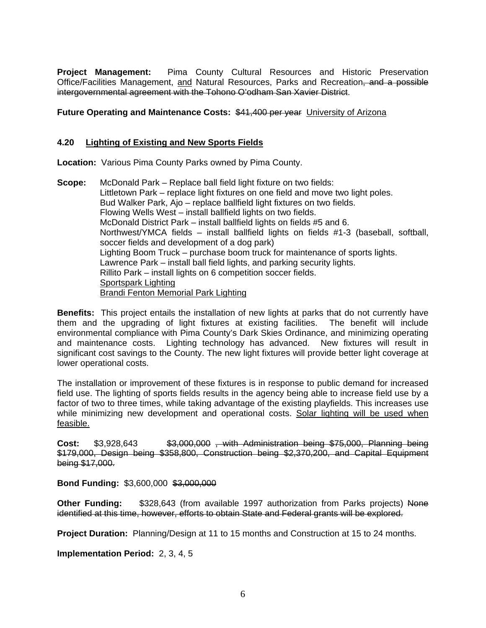**Project Management:** Pima County Cultural Resources and Historic Preservation Office/Facilities Management, and Natural Resources, Parks and Recreation, and a possible intergovernmental agreement with the Tohono O'odham San Xavier District.

### **Future Operating and Maintenance Costs:** \$41,400 per yearUniversity of Arizona

### **4.20 Lighting of Existing and New Sports Fields**

**Location:** Various Pima County Parks owned by Pima County.

**Scope:** McDonald Park – Replace ball field light fixture on two fields: Littletown Park – replace light fixtures on one field and move two light poles. Bud Walker Park, Ajo – replace ballfield light fixtures on two fields. Flowing Wells West – install ballfield lights on two fields. McDonald District Park – install ballfield lights on fields #5 and 6. Northwest/YMCA fields – install ballfield lights on fields #1-3 (baseball, softball, soccer fields and development of a dog park) Lighting Boom Truck – purchase boom truck for maintenance of sports lights. Lawrence Park – install ball field lights, and parking security lights. Rillito Park – install lights on 6 competition soccer fields. Sportspark Lighting Brandi Fenton Memorial Park Lighting

**Benefits:** This project entails the installation of new lights at parks that do not currently have them and the upgrading of light fixtures at existing facilities. The benefit will include environmental compliance with Pima County's Dark Skies Ordinance, and minimizing operating and maintenance costs. Lighting technology has advanced. New fixtures will result in significant cost savings to the County. The new light fixtures will provide better light coverage at lower operational costs.

The installation or improvement of these fixtures is in response to public demand for increased field use. The lighting of sports fields results in the agency being able to increase field use by a factor of two to three times, while taking advantage of the existing playfields. This increases use while minimizing new development and operational costs. Solar lighting will be used when feasible.

**Cost:** \$3,928,643 \$3,000,000 , with Administration being \$75,000, Planning being \$179,000, Design being \$358,800, Construction being \$2,370,200, and Capital Equipment being \$17,000.

**Bond Funding:** \$3,600,000 \$3,000,000

**Other Funding:** \$328,643 (from available 1997 authorization from Parks projects) None identified at this time, however, efforts to obtain State and Federal grants will be explored.

**Project Duration:** Planning/Design at 11 to 15 months and Construction at 15 to 24 months.

**Implementation Period:** 2, 3, 4, 5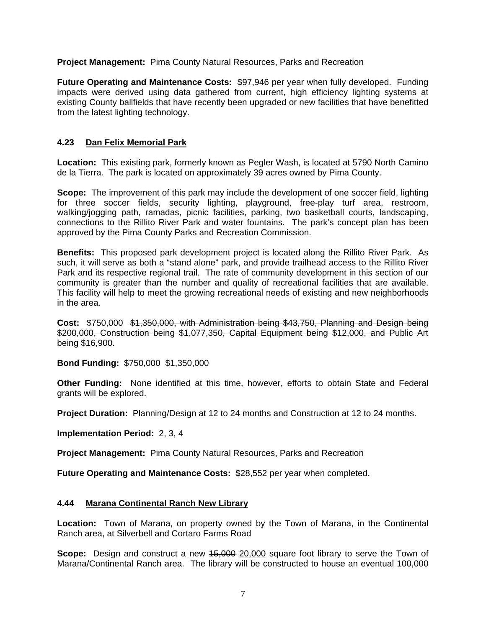**Project Management:** Pima County Natural Resources, Parks and Recreation

**Future Operating and Maintenance Costs:** \$97,946 per year when fully developed. Funding impacts were derived using data gathered from current, high efficiency lighting systems at existing County ballfields that have recently been upgraded or new facilities that have benefitted from the latest lighting technology.

### **4.23 Dan Felix Memorial Park**

**Location:** This existing park, formerly known as Pegler Wash, is located at 5790 North Camino de la Tierra. The park is located on approximately 39 acres owned by Pima County.

**Scope:** The improvement of this park may include the development of one soccer field, lighting for three soccer fields, security lighting, playground, free-play turf area, restroom, walking/jogging path, ramadas, picnic facilities, parking, two basketball courts, landscaping, connections to the Rillito River Park and water fountains. The park's concept plan has been approved by the Pima County Parks and Recreation Commission.

**Benefits:** This proposed park development project is located along the Rillito River Park. As such, it will serve as both a "stand alone" park, and provide trailhead access to the Rillito River Park and its respective regional trail. The rate of community development in this section of our community is greater than the number and quality of recreational facilities that are available. This facility will help to meet the growing recreational needs of existing and new neighborhoods in the area.

**Cost:** \$750,000 \$1,350,000, with Administration being \$43,750, Planning and Design being \$200,000, Construction being \$1,077,350, Capital Equipment being \$12,000, and Public Art being \$16,900.

**Bond Funding:** \$750,000 \$1,350,000

**Other Funding:** None identified at this time, however, efforts to obtain State and Federal grants will be explored.

**Project Duration:** Planning/Design at 12 to 24 months and Construction at 12 to 24 months.

**Implementation Period:** 2, 3, 4

**Project Management:** Pima County Natural Resources, Parks and Recreation

**Future Operating and Maintenance Costs:** \$28,552 per year when completed.

### **4.44 Marana Continental Ranch New Library**

**Location:** Town of Marana, on property owned by the Town of Marana, in the Continental Ranch area, at Silverbell and Cortaro Farms Road

**Scope:** Design and construct a new  $15,000$  20,000 square foot library to serve the Town of Marana/Continental Ranch area. The library will be constructed to house an eventual 100,000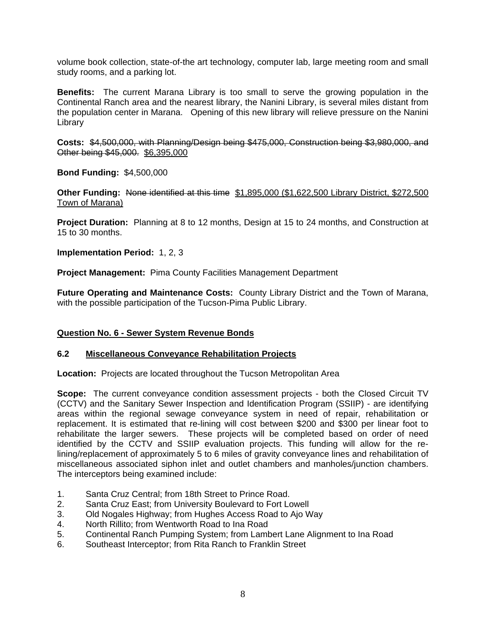volume book collection, state-of-the art technology, computer lab, large meeting room and small study rooms, and a parking lot.

**Benefits:** The current Marana Library is too small to serve the growing population in the Continental Ranch area and the nearest library, the Nanini Library, is several miles distant from the population center in Marana. Opening of this new library will relieve pressure on the Nanini Library

**Costs:** \$4,500,000, with Planning/Design being \$475,000, Construction being \$3,980,000, and Other being \$45,000. \$6,395,000

**Bond Funding:** \$4,500,000

**Other Funding:** None identified at this time \$1,895,000 (\$1,622,500 Library District, \$272,500 Town of Marana)

**Project Duration:** Planning at 8 to 12 months, Design at 15 to 24 months, and Construction at 15 to 30 months.

**Implementation Period:** 1, 2, 3

**Project Management:** Pima County Facilities Management Department

**Future Operating and Maintenance Costs:** County Library District and the Town of Marana, with the possible participation of the Tucson-Pima Public Library.

### **Question No. 6 - Sewer System Revenue Bonds**

#### **6.2 Miscellaneous Conveyance Rehabilitation Projects**

**Location:** Projects are located throughout the Tucson Metropolitan Area

**Scope:** The current conveyance condition assessment projects - both the Closed Circuit TV (CCTV) and the Sanitary Sewer Inspection and Identification Program (SSIIP) - are identifying areas within the regional sewage conveyance system in need of repair, rehabilitation or replacement. It is estimated that re-lining will cost between \$200 and \$300 per linear foot to rehabilitate the larger sewers. These projects will be completed based on order of need identified by the CCTV and SSIIP evaluation projects. This funding will allow for the relining/replacement of approximately 5 to 6 miles of gravity conveyance lines and rehabilitation of miscellaneous associated siphon inlet and outlet chambers and manholes/junction chambers. The interceptors being examined include:

- 1. Santa Cruz Central; from 18th Street to Prince Road.
- 2. Santa Cruz East; from University Boulevard to Fort Lowell
- 3. Old Nogales Highway; from Hughes Access Road to Ajo Way
- 4. North Rillito; from Wentworth Road to Ina Road
- 5. Continental Ranch Pumping System; from Lambert Lane Alignment to Ina Road
- 6. Southeast Interceptor; from Rita Ranch to Franklin Street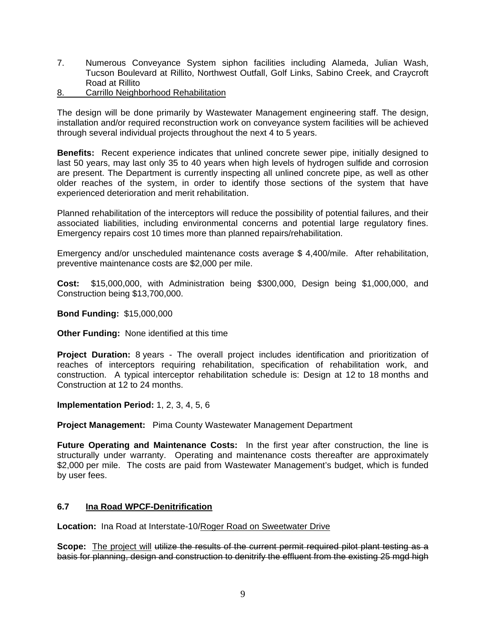- 7. Numerous Conveyance System siphon facilities including Alameda, Julian Wash, Tucson Boulevard at Rillito, Northwest Outfall, Golf Links, Sabino Creek, and Craycroft Road at Rillito
- 8. Carrillo Neighborhood Rehabilitation

The design will be done primarily by Wastewater Management engineering staff. The design, installation and/or required reconstruction work on conveyance system facilities will be achieved through several individual projects throughout the next 4 to 5 years.

**Benefits:** Recent experience indicates that unlined concrete sewer pipe, initially designed to last 50 years, may last only 35 to 40 years when high levels of hydrogen sulfide and corrosion are present. The Department is currently inspecting all unlined concrete pipe, as well as other older reaches of the system, in order to identify those sections of the system that have experienced deterioration and merit rehabilitation.

Planned rehabilitation of the interceptors will reduce the possibility of potential failures, and their associated liabilities, including environmental concerns and potential large regulatory fines. Emergency repairs cost 10 times more than planned repairs/rehabilitation.

Emergency and/or unscheduled maintenance costs average \$ 4,400/mile. After rehabilitation, preventive maintenance costs are \$2,000 per mile.

**Cost:** \$15,000,000, with Administration being \$300,000, Design being \$1,000,000, and Construction being \$13,700,000.

**Bond Funding:** \$15,000,000

**Other Funding:** None identified at this time

**Project Duration:** 8 years - The overall project includes identification and prioritization of reaches of interceptors requiring rehabilitation, specification of rehabilitation work, and construction. A typical interceptor rehabilitation schedule is: Design at 12 to 18 months and Construction at 12 to 24 months.

**Implementation Period:** 1, 2, 3, 4, 5, 6

**Project Management:** Pima County Wastewater Management Department

**Future Operating and Maintenance Costs:** In the first year after construction, the line is structurally under warranty. Operating and maintenance costs thereafter are approximately \$2,000 per mile. The costs are paid from Wastewater Management's budget, which is funded by user fees.

### **6.7 Ina Road WPCF-Denitrification**

**Location:** Ina Road at Interstate-10/Roger Road on Sweetwater Drive

Scope: The project will utilize the results of the current permit required pilot plant testing as a basis for planning, design and construction to denitrify the effluent from the existing 25 mgd high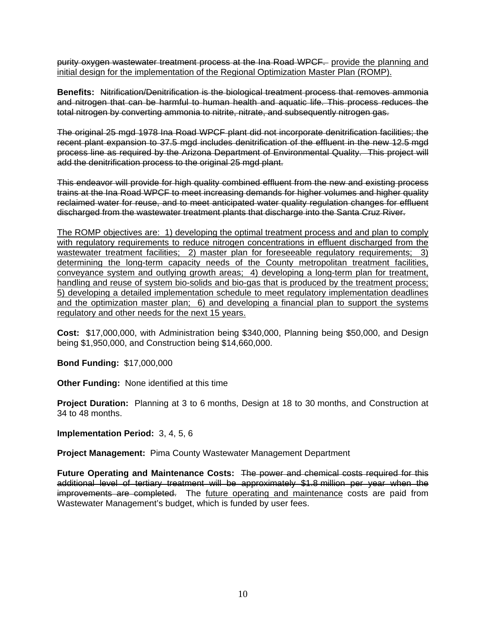purity oxygen wastewater treatment process at the Ina Road WPCF. provide the planning and initial design for the implementation of the Regional Optimization Master Plan (ROMP).

**Benefits:** Nitrification/Denitrification is the biological treatment process that removes ammonia and nitrogen that can be harmful to human health and aquatic life. This process reduces the total nitrogen by converting ammonia to nitrite, nitrate, and subsequently nitrogen gas.

The original 25 mgd 1978 Ina Road WPCF plant did not incorporate denitrification facilities; the recent plant expansion to 37.5 mgd includes denitrification of the effluent in the new 12.5 mgd process line as required by the Arizona Department of Environmental Quality. This project will add the denitrification process to the original 25 mgd plant.

This endeavor will provide for high quality combined effluent from the new and existing process trains at the Ina Road WPCF to meet increasing demands for higher volumes and higher quality reclaimed water for reuse, and to meet anticipated water quality regulation changes for effluent discharged from the wastewater treatment plants that discharge into the Santa Cruz River.

The ROMP objectives are: 1) developing the optimal treatment process and and plan to comply with regulatory requirements to reduce nitrogen concentrations in effluent discharged from the wastewater treatment facilities; 2) master plan for foreseeable regulatory requirements; 3) determining the long-term capacity needs of the County metropolitan treatment facilities, conveyance system and outlying growth areas; 4) developing a long-term plan for treatment, handling and reuse of system bio-solids and bio-gas that is produced by the treatment process; 5) developing a detailed implementation schedule to meet regulatory implementation deadlines and the optimization master plan; 6) and developing a financial plan to support the systems regulatory and other needs for the next 15 years.

**Cost:** \$17,000,000, with Administration being \$340,000, Planning being \$50,000, and Design being \$1,950,000, and Construction being \$14,660,000.

**Bond Funding:** \$17,000,000

**Other Funding:** None identified at this time

**Project Duration:** Planning at 3 to 6 months, Design at 18 to 30 months, and Construction at 34 to 48 months.

**Implementation Period:** 3, 4, 5, 6

**Project Management:** Pima County Wastewater Management Department

**Future Operating and Maintenance Costs:** The power and chemical costs required for this additional level of tertiary treatment will be approximately \$1.8 million per year when the improvements are completed. The future operating and maintenance costs are paid from Wastewater Management's budget, which is funded by user fees.